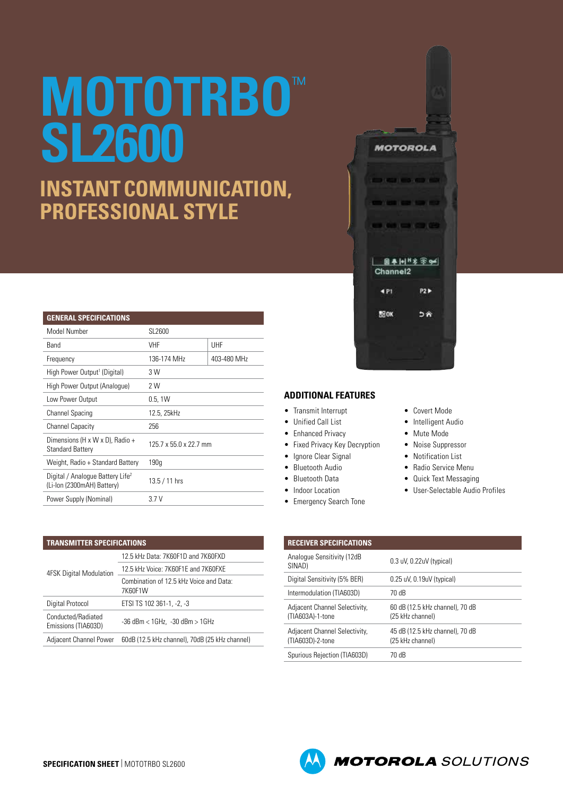# **MOTOTRBO**™ **SL2600**

## **INSTANT COMMUNICATION, PROFESSIONAL STYLE**

| <b>GENERAL SPECIFICATIONS</b>                                              |                        |             |
|----------------------------------------------------------------------------|------------------------|-------------|
| Model Number                                                               | SL2600                 |             |
| Band                                                                       | VHF                    | UHF         |
| Frequency                                                                  | 136-174 MHz            | 403-480 MHz |
| High Power Output <sup>1</sup> (Digital)                                   | 3 W                    |             |
| High Power Output (Analoque)                                               | 2 W                    |             |
| Low Power Output                                                           | 0.5, 1W                |             |
| <b>Channel Spacing</b>                                                     | 12.5, 25kHz            |             |
| <b>Channel Capacity</b>                                                    | 256                    |             |
| Dimensions (H x W x D), Radio +<br><b>Standard Battery</b>                 | 125.7 x 55.0 x 22.7 mm |             |
| Weight, Radio + Standard Battery                                           | 190q                   |             |
| Digital / Analogue Battery Life <sup>2</sup><br>(Li-lon (2300mAH) Battery) | $13.5 / 11$ hrs        |             |
| Power Supply (Nominal)                                                     | 3.7V                   |             |

| <b>TRANSMITTER SPECIFICATIONS</b>         |                                                    |  |
|-------------------------------------------|----------------------------------------------------|--|
| <b>4FSK Digital Modulation</b>            | 12.5 kHz Data: 7K60F1D and 7K60FXD                 |  |
|                                           | 12.5 kHz Voice: 7K60F1E and 7K60FXE                |  |
|                                           | Combination of 12.5 kHz Voice and Data:<br>7K60F1W |  |
| Digital Protocol                          | ETSI TS 102 361-1, -2, -3                          |  |
| Conducted/Radiated<br>Emissions (TIA603D) | $-36$ dBm $<$ 1GHz, $-30$ dBm $>$ 1GHz             |  |
| Adjacent Channel Power                    | 60dB (12.5 kHz channel), 70dB (25 kHz channel)     |  |



**MOTOROLA** 

**DISCUSSION CONTINUES** 

**STORY OF ST** 

. . . . .

#### **ADDITIONAL FEATURES**

- Transmit Interrupt
- Unified Call List
- Enhanced Privacy
- Fixed Privacy Key Decryption
- Ignore Clear Signal
- Bluetooth Audio
- Bluetooth Data
- Indoor Location
- Emergency Search Tone
- Covert Mode
- Intelligent Audio
- Mute Mode
- Noise Suppressor
- Notification List
- Radio Service Menu
- Quick Text Messaging
- User-Selectable Audio Profiles

| <b>RECEIVER SPECIFICATIONS</b>                    |                                                     |
|---------------------------------------------------|-----------------------------------------------------|
| Analogue Sensitivity (12dB<br>SINAD)              | 0.3 uV, 0.22uV (typical)                            |
| Digital Sensitivity (5% BER)                      | $0.25$ uV, $0.19$ uV (typical)                      |
| Intermodulation (TIA603D)                         | 70 dB                                               |
| Adjacent Channel Selectivity,<br>(TIA603A)-1-tone | 60 dB (12.5 kHz channel), 70 dB<br>(25 kHz channel) |
| Adjacent Channel Selectivity,<br>(TIA603D)-2-tone | 45 dB (12.5 kHz channel), 70 dB<br>(25 kHz channel) |
| Spurious Rejection (TIA603D)                      | 70 dB                                               |